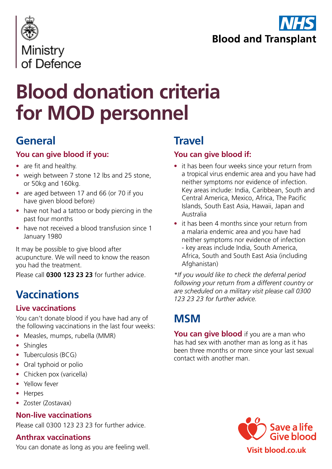



# **Blood donation criteria for MOD personnel**

### **General**

#### **You can give blood if you:**

- are fit and healthy.
- weigh between 7 stone 12 lbs and 25 stone, or 50kg and 160kg.
- are aged between 17 and 66 (or 70 if you have given blood before)
- have not had a tattoo or body piercing in the past four months
- have not received a blood transfusion since 1 January 1980

It may be possible to give blood after acupuncture. We will need to know the reason you had the treatment.

Please call **0300 123 23 23** for further advice.

### **Vaccinations**

#### **Live vaccinations**

You can't donate blood if you have had any of the following vaccinations in the last four weeks:

- Measles, mumps, rubella (MMR)
- **Shingles**
- Tuberculosis (BCG)
- Oral typhoid or polio
- Chicken pox (varicella)
- Yellow fever
- Herpes
- Zoster (Zostavax)

#### **Non-live vaccinations**

Please call 0300 123 23 23 for further advice.

#### **Anthrax vaccinations**

You can donate as long as you are feeling well.

### **Travel**

#### **You can give blood if:**

- it has been four weeks since your return from a tropical virus endemic area and you have had neither symptoms nor evidence of infection. Key areas include: India, Caribbean, South and Central America, Mexico, Africa, The Pacific Islands, South East Asia, Hawaii, Japan and Australia
- it has been 4 months since your return from a malaria endemic area and you have had neither symptoms nor evidence of infection - key areas include India, South America, Africa, South and South East Asia (including Afghanistan)

*\*If you would like to check the deferral period following your return from a different country or are scheduled on a military visit please call 0300 123 23 23 for further advice.* 

### **MSM**

**You can give blood** if you are a man who has had sex with another man as long as it has been three months or more since your last sexual contact with another man.